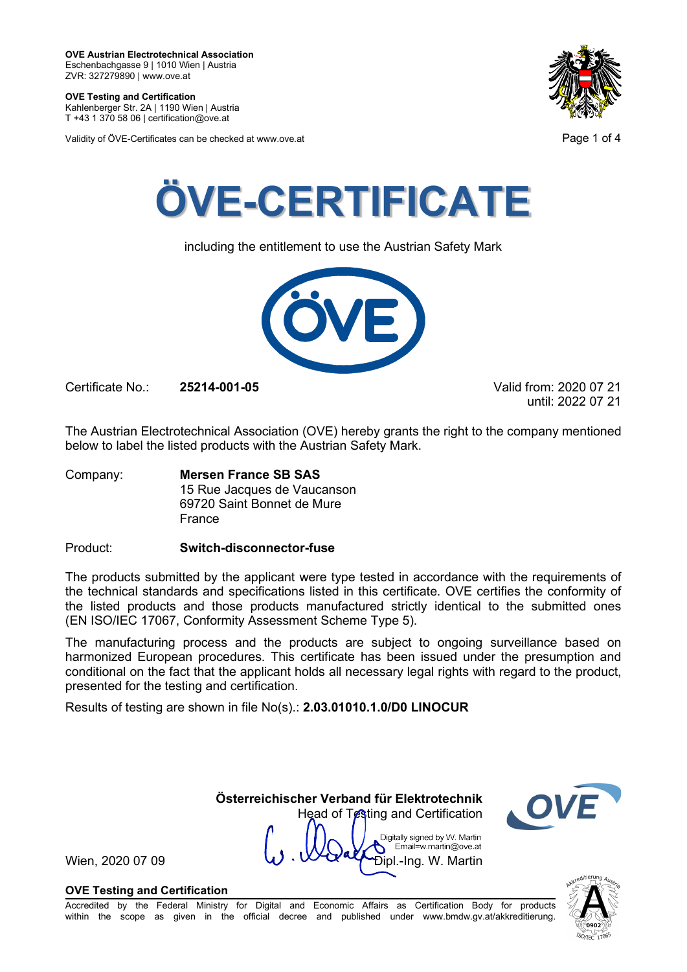**OVE Testing and Certification** Kahlenberger Str. 2A | 1190 Wien | Austria

T +43 1 370 58 06 | certification@ove.at

Validity of ÖVE-Certificates can be checked at www.ove.at **Page 1 of 4** Page 1 of 4





including the entitlement to use the Austrian Safety Mark



Certificate No.: **25214-001-05** Valid from: 2020 07 21

until: 2022 07 21

The Austrian Electrotechnical Association (OVE) hereby grants the right to the company mentioned below to label the listed products with the Austrian Safety Mark.

Company: **Mersen France SB SAS** 15 Rue Jacques de Vaucanson 69720 Saint Bonnet de Mure France

Product: **Switch-disconnector-fuse**

The products submitted by the applicant were type tested in accordance with the requirements of the technical standards and specifications listed in this certificate. OVE certifies the conformity of the listed products and those products manufactured strictly identical to the submitted ones (EN ISO/IEC 17067, Conformity Assessment Scheme Type 5).

The manufacturing process and the products are subject to ongoing surveillance based on harmonized European procedures. This certificate has been issued under the presumption and conditional on the fact that the applicant holds all necessary legal rights with regard to the product, presented for the testing and certification.

**Österreichischer Verband für Elektrotechnik**

Head of Testing and Certification

Digitally signed by W. Martin Email=w.martin@ove.at

Results of testing are shown in file No(s).: **2.03.01010.1.0/D0 LINOCUR**

Wien, 2020 07 09  $\vee$   $\vee$   $\vee$   $\vee$   $\vee$   $\vee$   $\vee$   $\vee$   $\vee$   $\vee$   $\vee$   $\vee$   $\vee$   $\vee$   $\vee$   $\vee$   $\vee$   $\vee$   $\vee$   $\vee$   $\vee$   $\vee$   $\vee$   $\vee$   $\vee$   $\vee$   $\vee$   $\vee$   $\vee$   $\vee$   $\vee$   $\vee$   $\vee$   $\vee$ 

## **OVE Testing and Certification**

Accredited by the Federal Ministry for Digital and Economic Affairs as Certification Body for products within the scope as given in the official decree and published under www.bmdw.gv.at/akkreditierung.

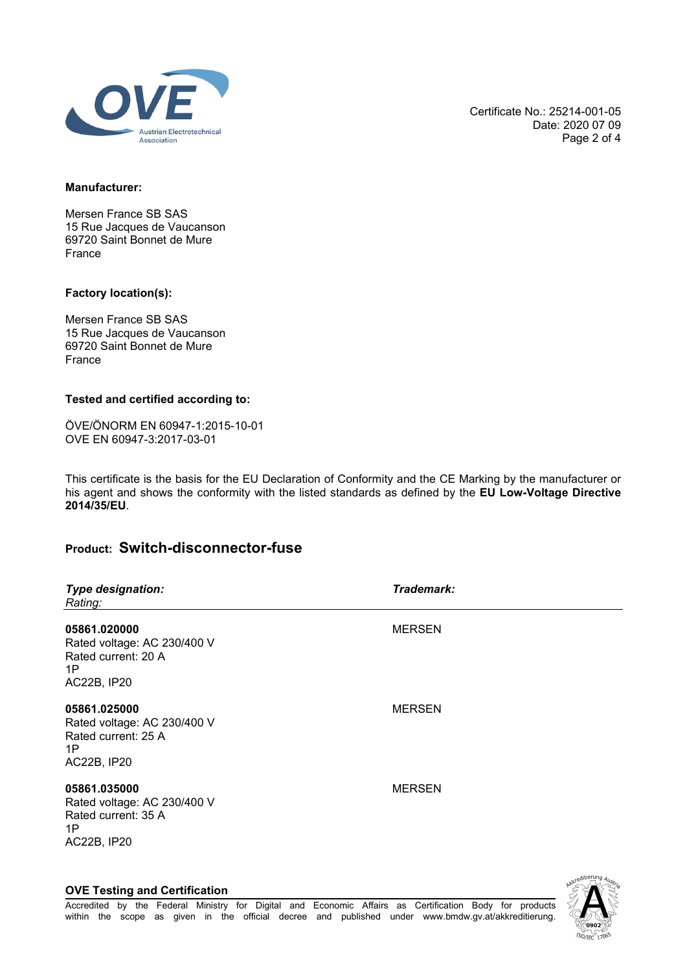

Certificate No.: 25214-001-05 Date: 2020 07 09 Page 2 of 4

#### **Manufacturer:**

Mersen France SB SAS 15 Rue Jacques de Vaucanson 69720 Saint Bonnet de Mure France

#### **Factory location(s):**

Mersen France SB SAS 15 Rue Jacques de Vaucanson 69720 Saint Bonnet de Mure France

### **Tested and certified according to:**

ÖVE/ÖNORM EN 60947-1:2015-10-01 OVE EN 60947-3:2017-03-01

This certificate is the basis for the EU Declaration of Conformity and the CE Marking by the manufacturer or his agent and shows the conformity with the listed standards as defined by the **EU Low-Voltage Directive 2014/35/EU**.

# **Product: Switch-disconnector-fuse**

| <b>Type designation:</b><br>Rating:                                                            | Trademark:    |
|------------------------------------------------------------------------------------------------|---------------|
| 05861.020000<br>Rated voltage: AC 230/400 V<br>Rated current: 20 A<br>1P<br><b>AC22B, IP20</b> | <b>MERSEN</b> |
| 05861.025000<br>Rated voltage: AC 230/400 V<br>Rated current: 25 A<br>1P<br><b>AC22B, IP20</b> | <b>MERSEN</b> |
| 05861.035000<br>Rated voltage: AC 230/400 V<br>Rated current: 35 A<br>1P<br><b>AC22B, IP20</b> | <b>MERSEN</b> |

**OVE Testing and Certification**

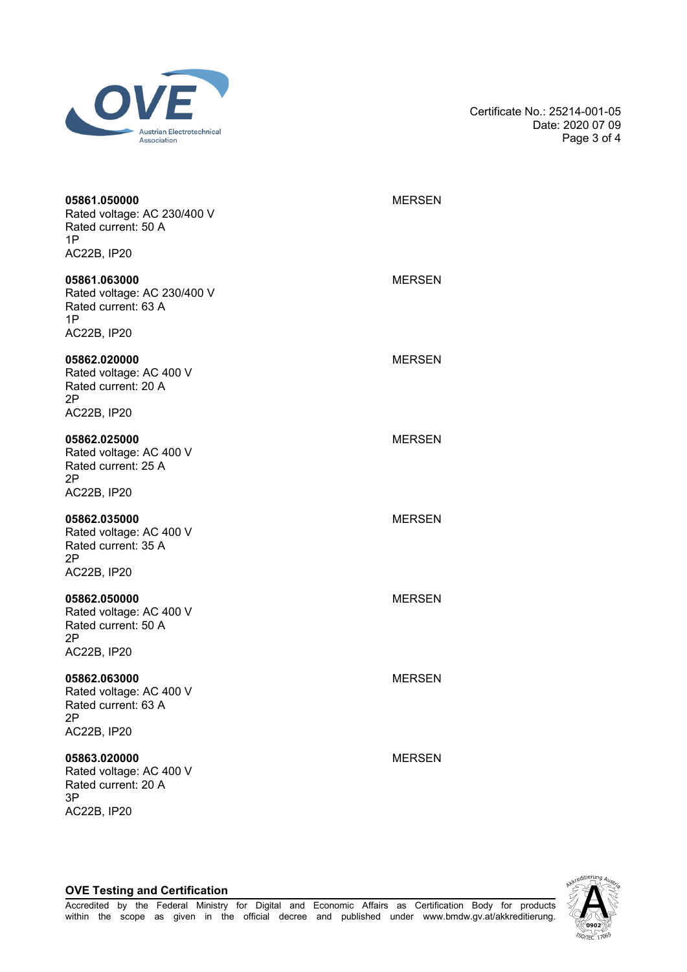

Certificate No.: 25214-001-05 Date: 2020 07 09 Page 3 of 4

| 05861.050000<br>Rated voltage: AC 230/400 V<br>Rated current: 50 A<br>1P<br><b>AC22B, IP20</b> | <b>MERSEN</b> |
|------------------------------------------------------------------------------------------------|---------------|
| 05861.063000<br>Rated voltage: AC 230/400 V<br>Rated current: 63 A<br>1P<br>AC22B, IP20        | <b>MERSEN</b> |
| 05862.020000<br>Rated voltage: AC 400 V<br>Rated current: 20 A<br>2P<br><b>AC22B, IP20</b>     | <b>MERSEN</b> |
| 05862.025000<br>Rated voltage: AC 400 V<br>Rated current: 25 A<br>2Ρ<br><b>AC22B, IP20</b>     | <b>MERSEN</b> |
| 05862.035000<br>Rated voltage: AC 400 V<br>Rated current: 35 A<br>2Ρ<br><b>AC22B, IP20</b>     | <b>MERSEN</b> |
| 05862.050000<br>Rated voltage: AC 400 V<br>Rated current: 50 A<br>2Ρ<br><b>AC22B, IP20</b>     | <b>MERSEN</b> |
| 05862.063000<br>Rated voltage: AC 400 V<br>Rated current: 63 A<br>2Ρ<br><b>AC22B, IP20</b>     | <b>MERSEN</b> |
| 05863.020000<br>Rated voltage: AC 400 V<br>Rated current: 20 A<br>3P<br><b>AC22B, IP20</b>     | <b>MERSEN</b> |



### **OVE Testing and Certification**